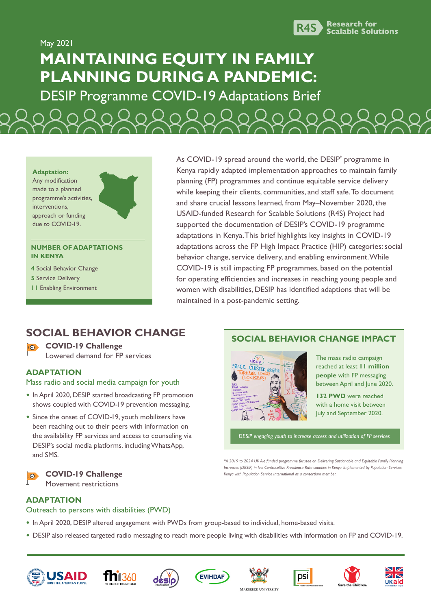

May 2021 **MAINTAINING EQUITY IN FAMILY PLANNING DURING A PANDEMIC:**

DESIP Programme COVID-19 Adaptations Brief



#### **NUMBER OF ADAPTATIONS IN KENYA**

**4** Social Behavior Change

- **5** Service Delivery
- **11** Enabling Environment

As COVID-19 spread around the world, the DESIP\* programme in Kenya rapidly adapted implementation approaches to maintain family planning (FP) programmes and continue equitable service delivery while keeping their clients, communities, and staff safe. To document and share crucial lessons learned, from May–November 2020, the USAID-funded Research for Scalable Solutions (R4S) Project had supported the documentation of DESIP's COVID-19 programme adaptations in Kenya. This brief highlights key insights in COVID-19 adaptations across the FP High Impact Practice (HIP) categories: social behavior change, service delivery, and enabling environment. While COVID-19 is still impacting FP programmes, based on the potential for operating efficiencies and increases in reaching young people and women with disabilities, DESIP has identified adaptions that will be maintained in a post-pandemic setting.

# **SOCIAL BEHAVIOR CHANGE**

**COVID-19 Challenge**  $| \circ \rangle$ Lowered demand for FP services

## **ADAPTATION**

#### Mass radio and social media campaign for youth

- **•** In April 2020, DESIP started broadcasting FP promotion shows coupled with COVID-19 prevention messaging.
- **•** Since the onset of COVID-19, youth mobilizers have been reaching out to their peers with information on the availability FP services and access to counseling via DESIP's social media platforms, including WhatsApp, and SMS.

## **COVID-19 Challenge**

Movement restrictions

## **SOCIAL BEHAVIOR CHANGE IMPACT**



The mass radio campaign reached at least **11 million people** with FP messaging between April and June 2020.

**132 PWD** were reached with a home visit between July and September 2020.

*DESIP engaging youth to increase access and utilization of FP services* 

*\*A 2019 to 2024 UK Aid funded programme focused on Delivering Sustianable and Equitable Family Planning Increases (DESIP) in low Contraceltive Prevalence Rate counties in Kenya. Implemented by Population Services Kenya with Population Service International as a consortium member.*

### **ADAPTATION**

#### Outreach to persons with disabilities (PWD)

- **•** In April 2020, DESIP altered engagement with PWDs from group-based to individual, home-based visits.
- **•** DESIP also released targeted radio messaging to reach more people living with disabilities with information on FP and COVID-19.

















**MAKERERE UNIVERSITY**